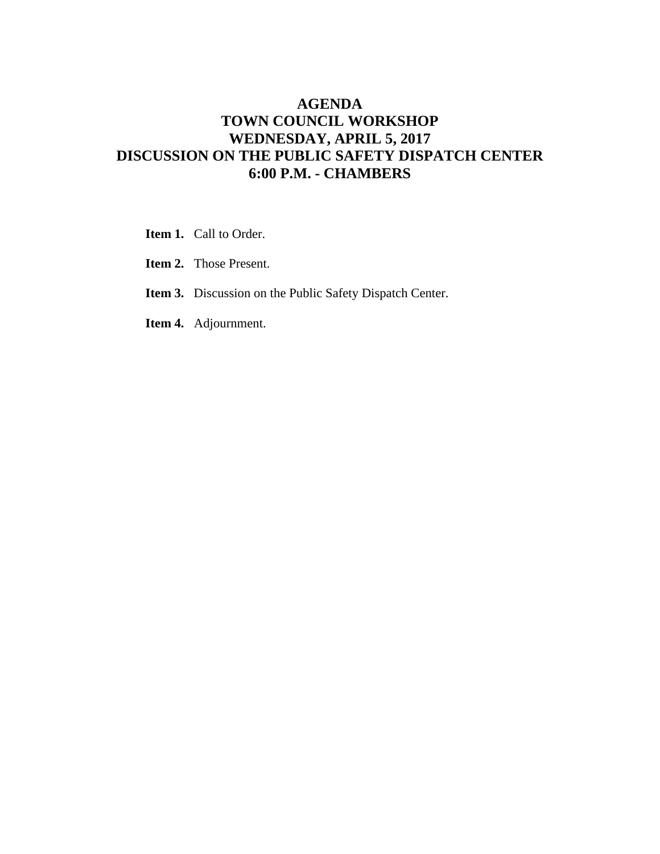#### **AGENDA TOWN COUNCIL WORKSHOP WEDNESDAY, APRIL 5, 2017 DISCUSSION ON THE PUBLIC SAFETY DISPATCH CENTER 6:00 P.M. - CHAMBERS**

- **Item 1.** Call to Order.
- **Item 2.** Those Present.
- **Item 3.** Discussion on the Public Safety Dispatch Center.
- **Item 4.** Adjournment.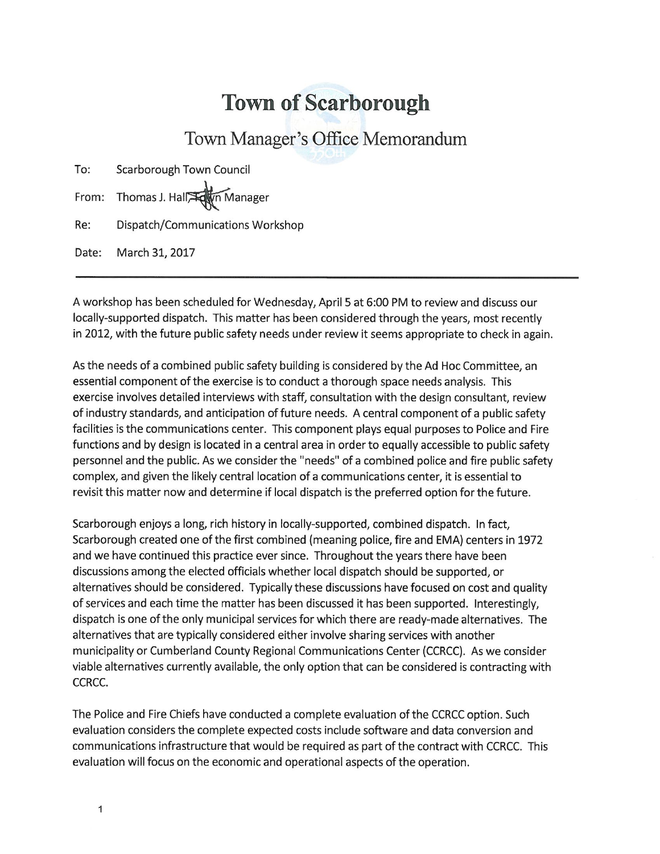#### **Town of Scarborough**

#### Town Manager's Office Memorandum

| To: | Scarborough Town Council         |
|-----|----------------------------------|
|     | From: Thomas J. Hall             |
| Re: | Dispatch/Communications Workshop |

Date: March 31, 2017

A workshop has been scheduled for Wednesday, April 5 at 6:00 PM to review and discuss our locally-supported dispatch. This matter has been considered through the years, most recently in 2012, with the future public safety needs under review it seems appropriate to check in again.

As the needs of a combined public safety building is considered by the Ad Hoc Committee, an essential component of the exercise is to conduct a thorough space needs analysis. This exercise involves detailed interviews with staff, consultation with the design consultant, review of industry standards, and anticipation of future needs. A central component of a public safety facilities is the communications center. This component plays equal purposes to Police and Fire functions and by design is located in a central area in order to equally accessible to public safety personnel and the public. As we consider the "needs" of a combined police and fire public safety complex, and given the likely central location of a communications center, it is essential to revisit this matter now and determine if local dispatch is the preferred option for the future.

Scarborough enjoys a long, rich history in locally-supported, combined dispatch. In fact, Scarborough created one of the first combined (meaning police, fire and EMA) centers in 1972 and we have continued this practice ever since. Throughout the years there have been discussions among the elected officials whether local dispatch should be supported, or alternatives should be considered. Typically these discussions have focused on cost and quality of services and each time the matter has been discussed it has been supported. Interestingly, dispatch is one of the only municipal services for which there are ready-made alternatives. The alternatives that are typically considered either involve sharing services with another municipality or Cumberland County Regional Communications Center (CCRCC). As we consider viable alternatives currently available, the only option that can be considered is contracting with CCRCC.

The Police and Fire Chiefs have conducted a complete evaluation of the CCRCC option. Such evaluation considers the complete expected costs include software and data conversion and communications infrastructure that would be required as part of the contract with CCRCC. This evaluation will focus on the economic and operational aspects of the operation.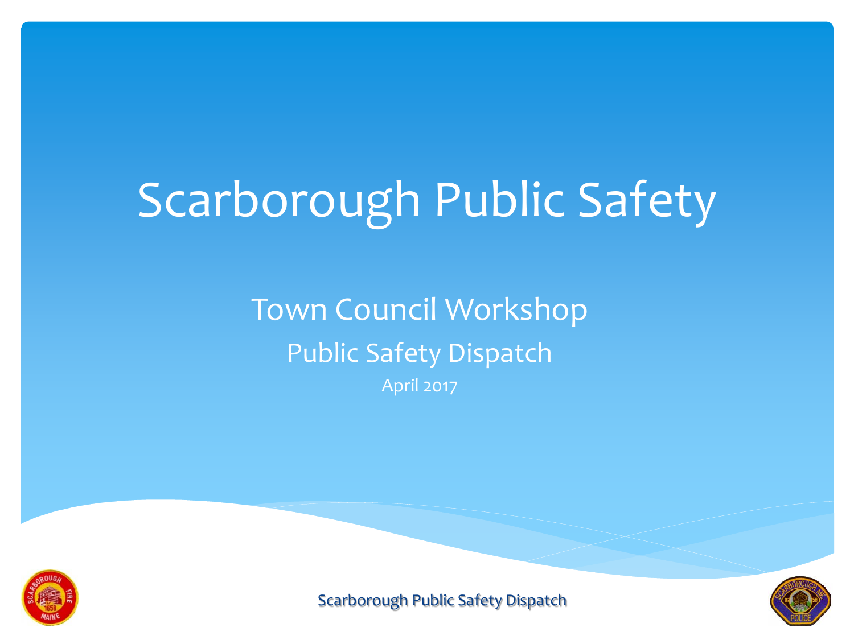# Scarborough Public Safety

### Town Council Workshop Public Safety Dispatch April 2017



Scarborough Public Safety Dispatch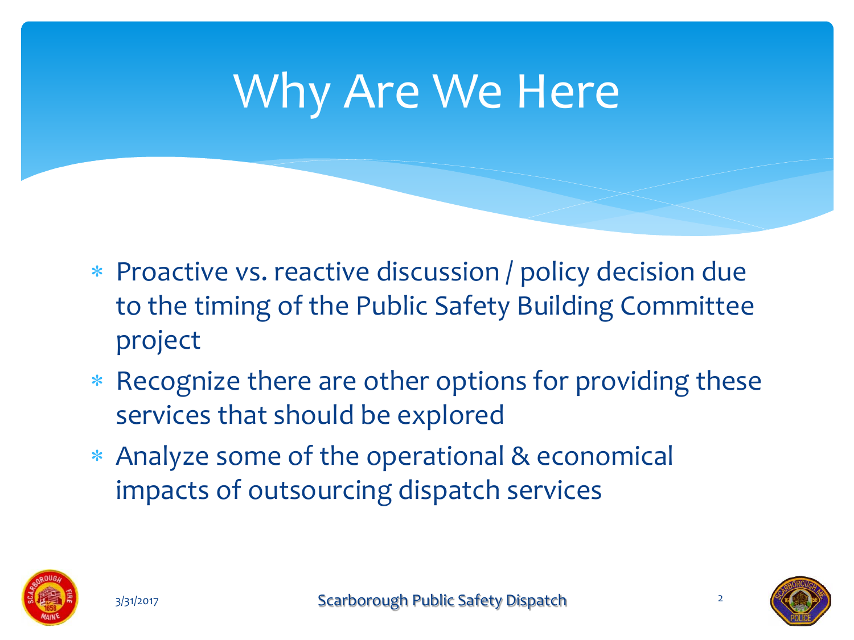# Why Are We Here

- Proactive vs. reactive discussion / policy decision due to the timing of the Public Safety Building Committee project
- \* Recognize there are other options for providing these services that should be explored
- Analyze some of the operational & economical impacts of outsourcing dispatch services





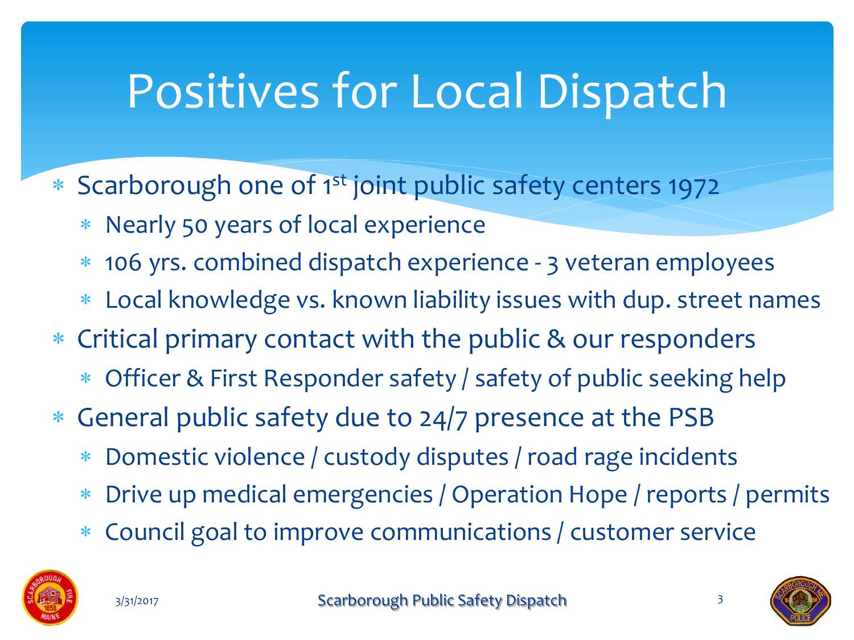# Positives for Local Dispatch

- \* Scarborough one of 1<sup>st</sup> joint public safety centers 1972
	- Nearly 50 years of local experience
	- 106 yrs. combined dispatch experience 3 veteran employees
	- Local knowledge vs. known liability issues with dup. street names
- Critical primary contact with the public & our responders
	- Officer & First Responder safety / safety of public seeking help
- General public safety due to 24/7 presence at the PSB
	- Domestic violence / custody disputes / road rage incidents
	- Drive up medical emergencies / Operation Hope / reports / permits
	- Council goal to improve communications / customer service



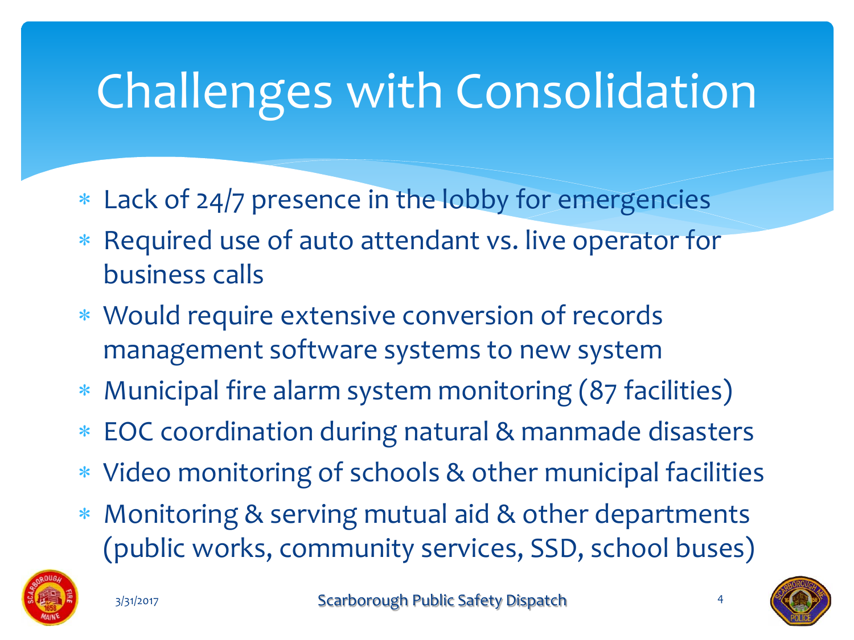# Challenges with Consolidation

- Lack of 24/7 presence in the lobby for emergencies
- \* Required use of auto attendant vs. live operator for business calls
- Would require extensive conversion of records management software systems to new system
- Municipal fire alarm system monitoring (87 facilities)
- EOC coordination during natural & manmade disasters
- Video monitoring of schools & other municipal facilities
- Monitoring & serving mutual aid & other departments (public works, community services, SSD, school buses)





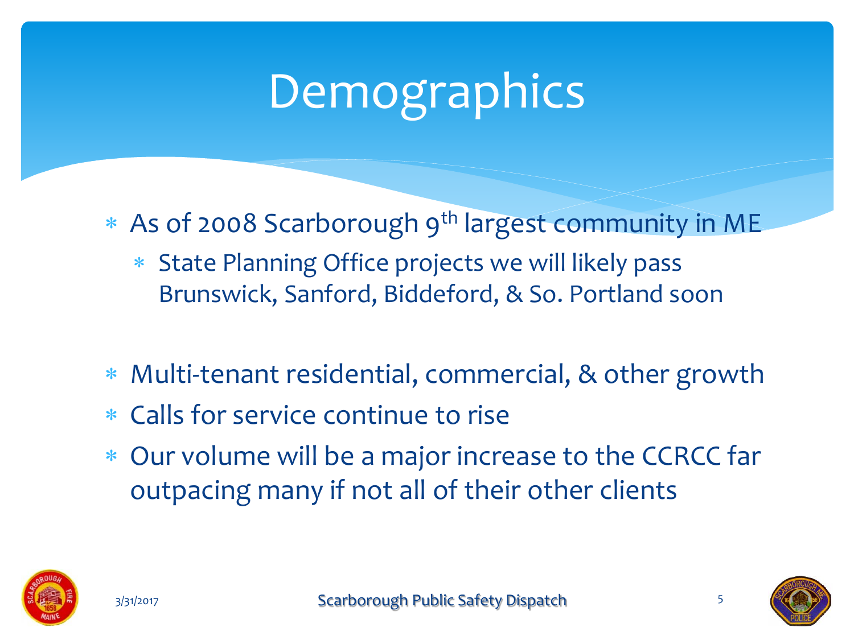# Demographics

- \* As of 2008 Scarborough 9<sup>th</sup> largest community in ME
	- State Planning Office projects we will likely pass Brunswick, Sanford, Biddeford, & So. Portland soon
- Multi-tenant residential, commercial, & other growth
- Calls for service continue to rise
- Our volume will be a major increase to the CCRCC far outpacing many if not all of their other clients



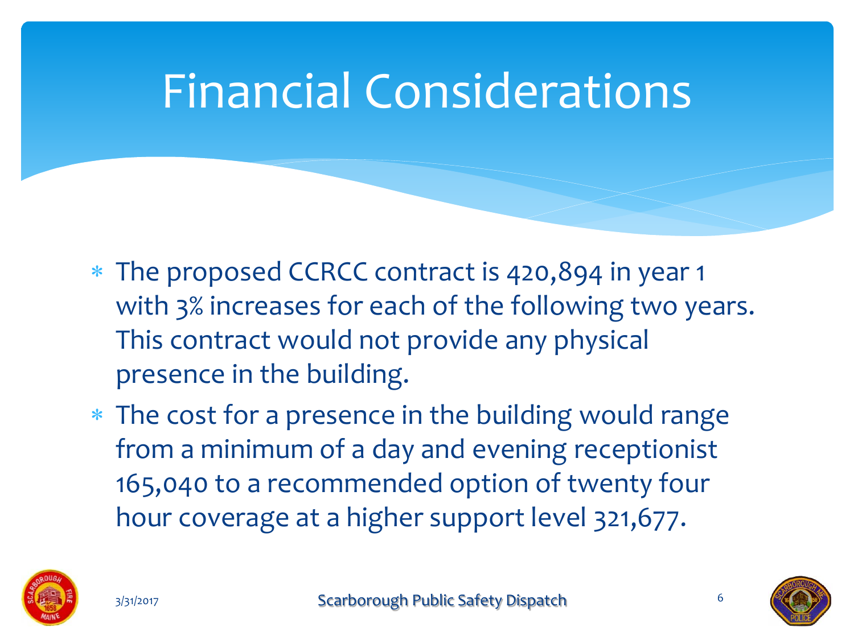# Financial Considerations

- The proposed CCRCC contract is 420,894 in year 1 with 3% increases for each of the following two years. This contract would not provide any physical presence in the building.
- The cost for a presence in the building would range from a minimum of a day and evening receptionist 165,040 to a recommended option of twenty four hour coverage at a higher support level 321,677.





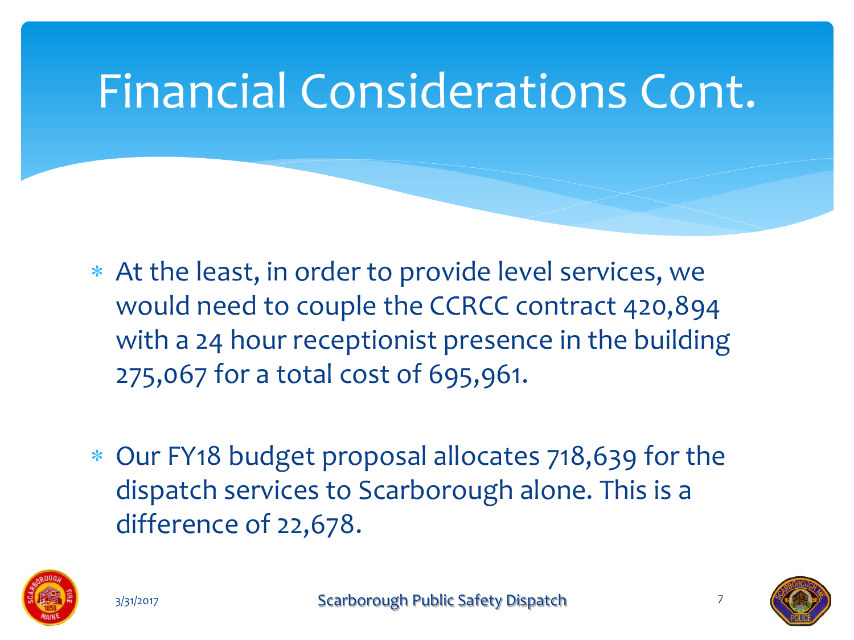## Financial Considerations Cont.

- At the least, in order to provide level services, we would need to couple the CCRCC contract 420,894 with a 24 hour receptionist presence in the building 275,067 for a total cost of 695,961.
- Our FY18 budget proposal allocates 718,639 for the dispatch services to Scarborough alone. This is a difference of 22,678.





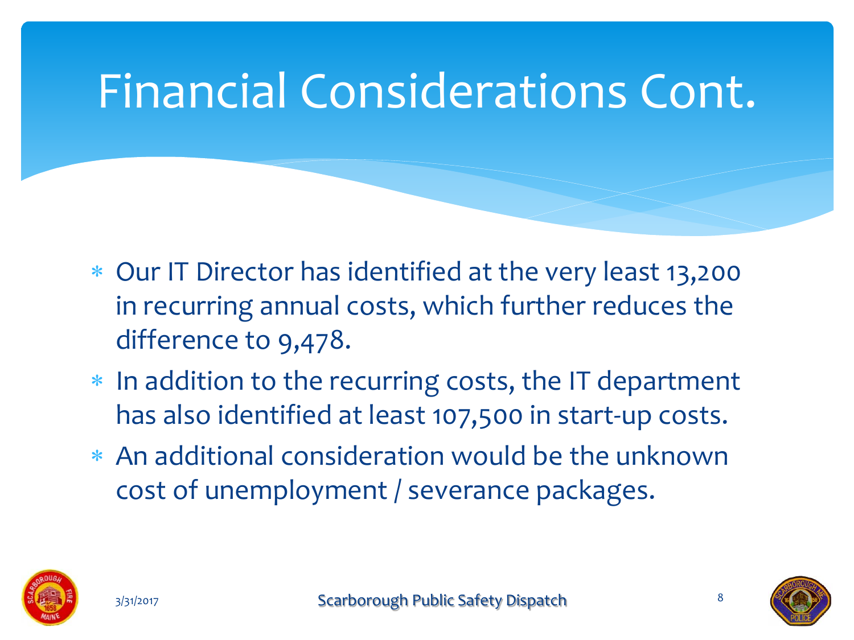# Financial Considerations Cont.

- Our IT Director has identified at the very least 13,200 in recurring annual costs, which further reduces the difference to 9,478.
- \* In addition to the recurring costs, the IT department has also identified at least 107,500 in start-up costs.
- An additional consideration would be the unknown cost of unemployment / severance packages.





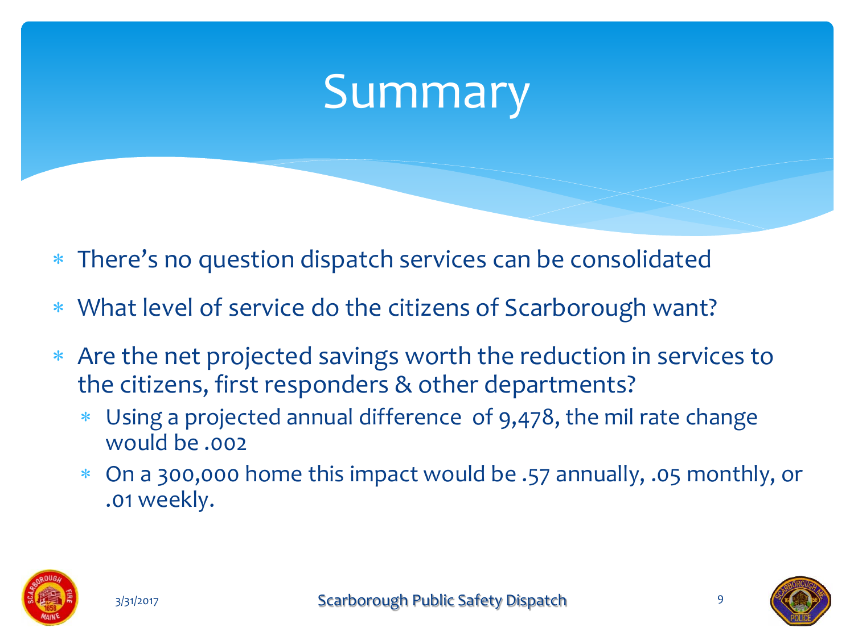# Summary

- There's no question dispatch services can be consolidated
- What level of service do the citizens of Scarborough want?
- Are the net projected savings worth the reduction in services to the citizens, first responders & other departments?
	- Using a projected annual difference of 9,478, the mil rate change would be .002
	- On a 300,000 home this impact would be .57 annually, .05 monthly, or .01 weekly.